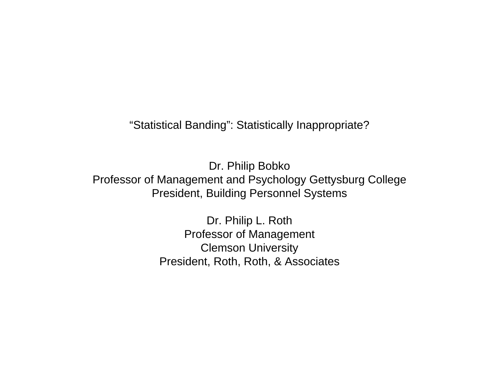"Statistical Banding": Statistically Inappropriate?

Dr. Philip Bobko Professor of Management and Psychology Gettysburg College President, Building Personnel Systems

> Dr. Philip L. Roth Professor of Management Clemson University President, Roth, Roth, & Associates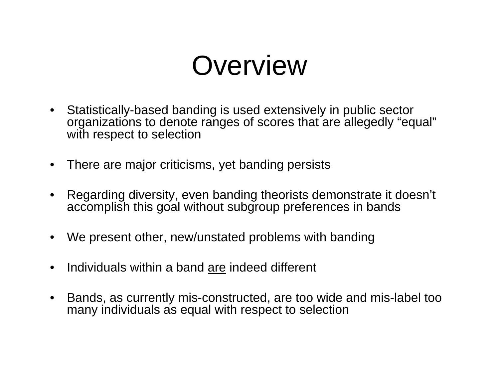### **Overview**

- $\bullet$  Statistically-based banding is used extensively in public sector organizations to denote ranges of scores that are allegedly "equal" with respect to selection
- •There are major criticisms, yet banding persists
- • Regarding diversity, even banding theorists demonstrate it doesn't accomplish this goal without subgroup preferences in bands
- •We present other, new/unstated problems with banding
- •Individuals within a band are indeed different
- $\bullet$  Bands, as currently mis-constructed, are too wide and mis-label too many individuals as equal with respect to selection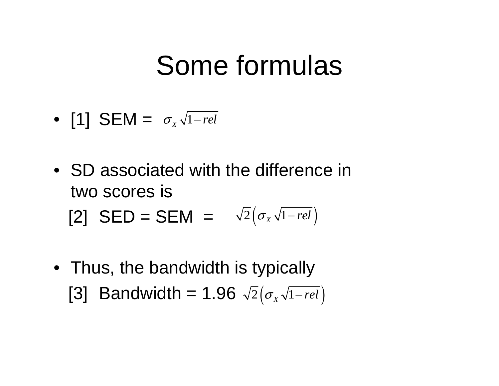### Some formulas

- [1] SEM = σ<sub>x</sub> √1-rel
- SD associated with the difference in two scores is [2] **SED** = **SEM** =  $\sqrt{2}(\sigma_x\sqrt{1-rel})$ − *rel*
- Thus, the bandwidth is typically [3] Bandwidth = 1.96  $\sqrt{2}(\sigma_{\scriptscriptstyle X} \sqrt{1-rel})$ − *rel*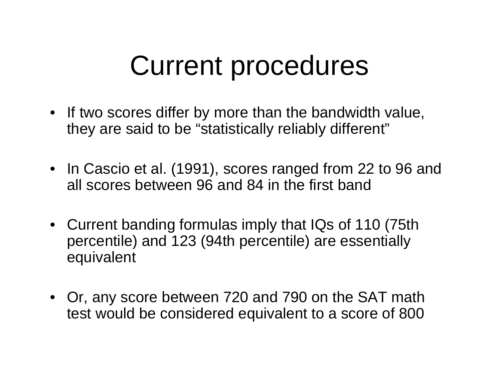## Current procedures

- If two scores differ by more than the bandwidth value, they are said to be "statistically reliably different"
- In Cascio et al. (1991), scores ranged from 22 to 96 and all scores between 96 and 84 in the first band
- Current banding formulas imply that IQs of 110 (75th percentile) and 123 (94th percentile) are essentially equivalent
- Or, any score between 720 and 790 on the SAT math test would be considered equivalent to a score of 800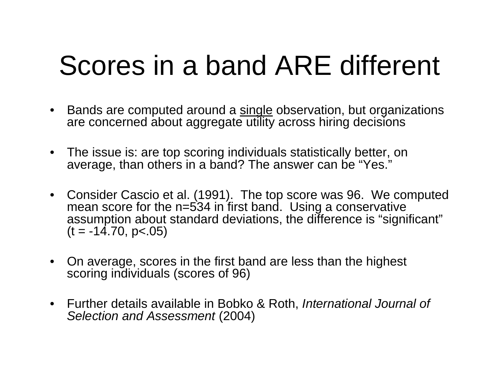# Scores in a band ARE different

- Bands are computed around a <u>single</u> observation, but organizations are concerned about aggregate utility across hiring decisions
- The issue is: are top scoring individuals statistically better, on average, than others in a band? The answer can be "Yes."
- Consider Cascio et al. (1991). The top score was 96. We computed mean score for the n=534 in first band. Using a conservative assumption about standard deviations, the difference is "significant"  $(t = -14.70, p < .05)$
- • On average, scores in the first band are less than the highest scoring individuals (scores of 96)
- Further details available in Bobko & Roth, *International Journal of Selection and Assessment* (2004)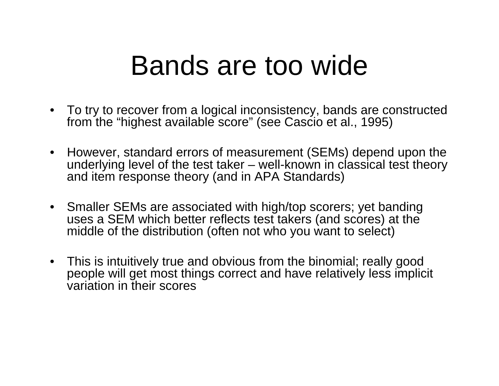#### Bands are too wide

- To try to recover from a logical inconsistency, bands are constructed from the "highest available score" (see Cascio et al., 1995)
- However, standard errors of measurement (SEMs) depend upon the underlying level of the test taker – well-known in classical test theory and item response theory (and in APA Standards)
- Smaller SEMs are associated with high/top scorers; yet banding uses a SEM which better reflects test takers (and scores) at the middle of the distribution (often not who you want to select)
- This is intuitively true and obvious from the binomial; really good people will get most things correct and have relatively less implicit variation in their scores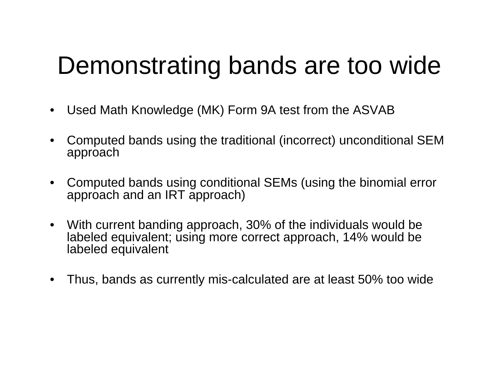#### Demonstrating bands are too wide

- •Used Math Knowledge (MK) Form 9A test from the ASVAB
- • Computed bands using the traditional (incorrect) unconditional SEM approach
- • Computed bands using conditional SEMs (using the binomial error approach and an IRT approach)
- $\bullet$  With current banding approach, 30% of the individuals would be labeled equivalent; using more correct approach, 14% would be labeled equivalent
- $\bullet$ Thus, bands as currently mis-calculated are at least 50% too wide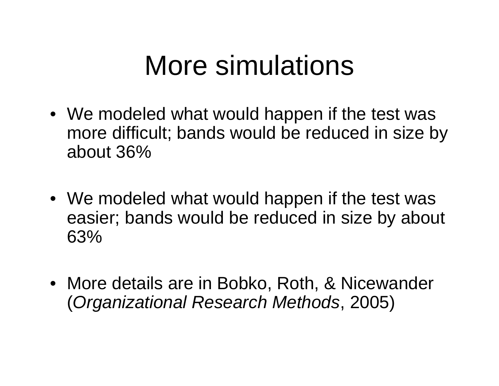## More simulations

- We modeled what would happen if the test was more difficult; bands would be reduced in size by about 36%
- We modeled what would happen if the test was easier; bands would be reduced in size by about 63%
- More details are in Bobko, Roth, & Nicewander (*Organizational Research Methods*, 2005)